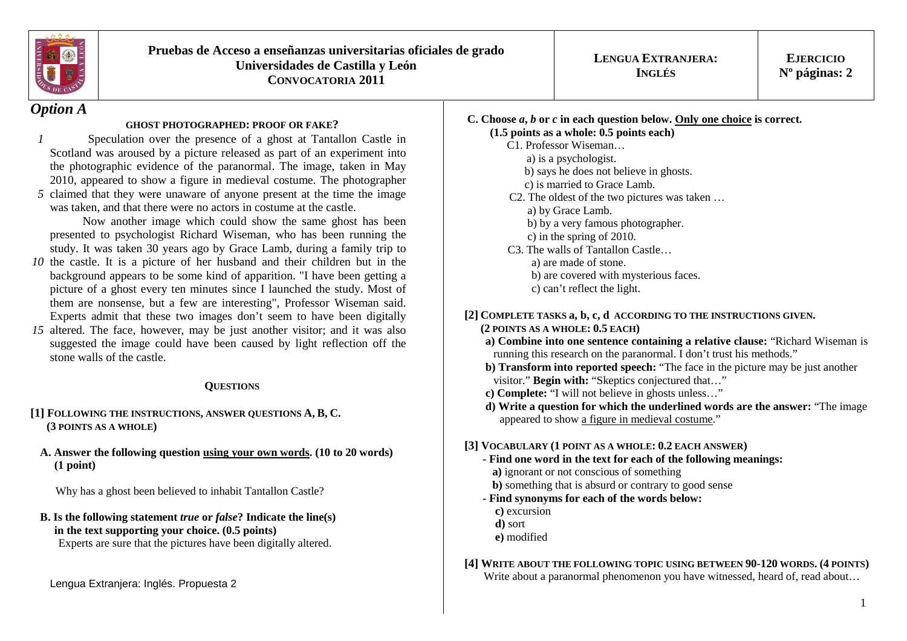

# *Option A*

### **GHOST PHOTOGRAPHED: PROOF OR FAKE?**

*15* claimed that they were unaware of anyone present at the time the image Speculation over the presence of a ghost at Tantallon Castle in Scotland was aroused by a picture released as part of an experiment into the photographic evidence of the paranormal. The image, taken in May 2010, appeared to show a figure in medieval costume. The photographer was taken, and that there were no actors in costume at the castle.

 Now another image which could show the same ghost has been presented to psychologist Richard Wiseman, who has been running the study. It was taken 30 years ago by Grace Lamb, during a family trip to

- *10* the castle. It is a picture of her husband and their children but in the background appears to be some kind of apparition. "I have been getting a picture of a ghost every ten minutes since I launched the study. Most of them are nonsense, but a few are interesting", Professor Wiseman said. Experts admit that these two images don't seem to have been digitally
- *15* altered. The face, however, may be just another visitor; and it was also suggested the image could have been caused by light reflection off the stone walls of the castle.

### **QUESTIONS**

- **[1] <sup>F</sup>OLLOWING THE INSTRUCTIONS, ANSWER QUESTIONS A, B, C. (3 POINTS AS A WHOLE)**
- **A. Answer the following question using your own words. (10 to 20 words) (1 point)**

Why has a ghost been believed to inhabit Tantallon Castle?

# **B. Is the following statement** *true* **or** *false***? Indicate the line(s) in the text supporting your choice. (0.5 points)**

Experts are sure that the pictures have been digitally altered.

#### **C. Choose** *<sup>a</sup>***,** *b* **or** *c* **in each question below. Only one choice is correct. (1.5 points as a whole: 0.5 points each)**

- C1. Professor Wiseman…
	- a) is a psychologist.
- b) says he does not believe in ghosts.
	- c) is married to Grace Lamb.
- C2. The oldest of the two pictures was taken …
	- a) by Grace Lamb. b) by a very famous photographer.
		- c) in the spring of 2010.
	- C3. The walls of Tantallon Castle… a) are made of stone. b) are covered with mysterious faces.
		- c) can't reflect the light.

# **[2] <sup>C</sup>OMPLETE TASKS a, b, c, d ACCORDING TO THE INSTRUCTIONS GIVEN.**

## **(2 POINTS AS A WHOLE: 0.5 EACH)**

- **a) Combine into one sentence containing a relative clause:** "Richard Wiseman is running this research on the paranormal. I don't trust his methods."
- **b) Transform into reported speech:** "The face in the picture may be just another visitor." **Begin with:** "Skeptics conjectured that..."
- **c) Complete:** "I will not believe in ghosts unless…"
- **d) Write a question for which the underlined words are the answer:** "The image appeared to show a figure in medieval costume."

## **[3] VOCABULARY (1 POINT AS A WHOLE: 0.2 EACH ANSWER)**

- **Find one word in the text for each of the following meanings: a)** ignorant or not conscious of something  **b)** something that is absurd or contrary to good sense
- **Find synonyms for each of the words below: c)** excursion **d)** sort **e)** modified

#### **[4] WRITE ABOUT THE FOLLOWING TOPIC USING BETWEEN 90-120 WORDS. (4 POINTS)**  Write about a paranormal phenomenon you have witnessed, heard of, read about...